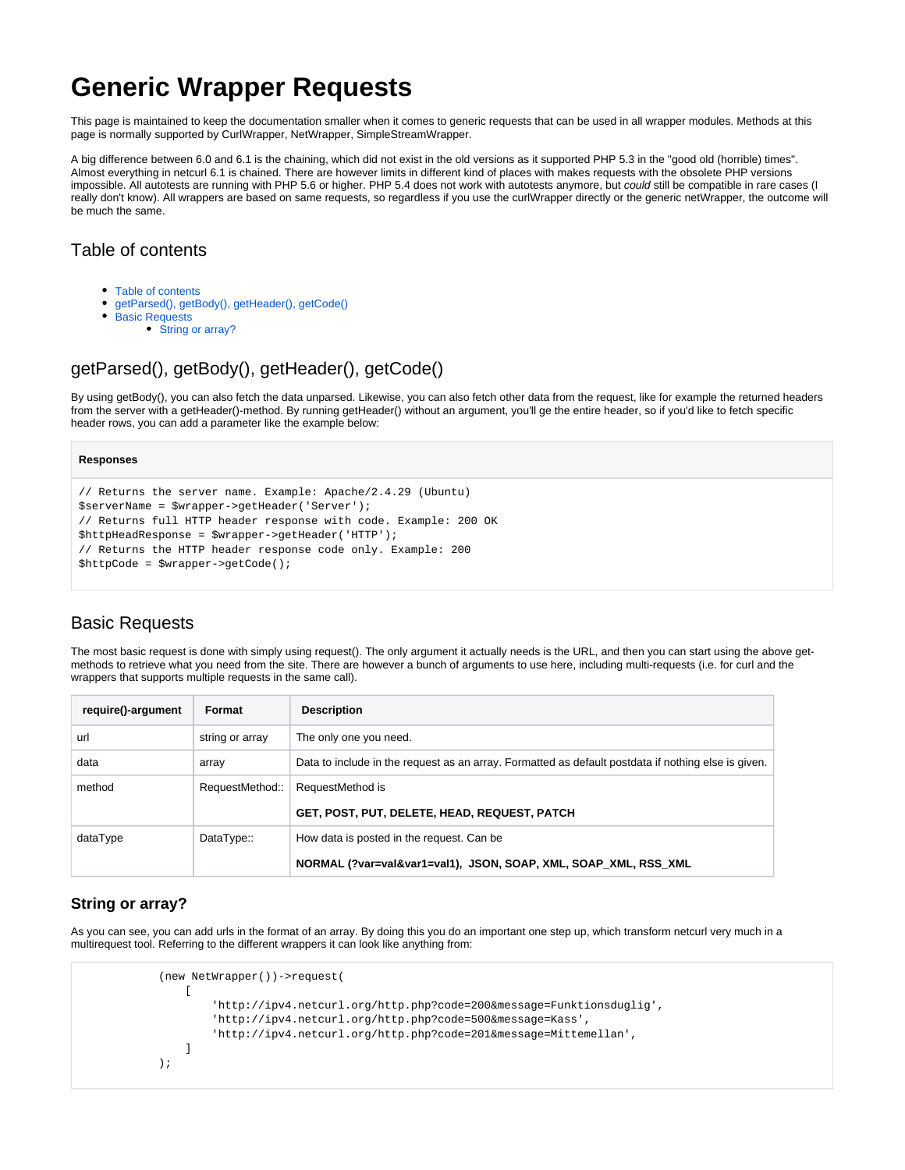# **Generic Wrapper Requests**

This page is maintained to keep the documentation smaller when it comes to generic requests that can be used in all wrapper modules. Methods at this page is normally supported by CurlWrapper, NetWrapper, SimpleStreamWrapper.

A big difference between 6.0 and 6.1 is the chaining, which did not exist in the old versions as it supported PHP 5.3 in the "good old (horrible) times". Almost everything in netcurl 6.1 is chained. There are however limits in different kind of places with makes requests with the obsolete PHP versions impossible. All autotests are running with PHP 5.6 or higher. PHP 5.4 does not work with autotests anymore, but could still be compatible in rare cases (I really don't know). All wrappers are based on same requests, so regardless if you use the curlWrapper directly or the generic netWrapper, the outcome will be much the same.

### <span id="page-0-0"></span>Table of contents

- [Table of contents](#page-0-0)
- $\bullet$ [getParsed\(\), getBody\(\), getHeader\(\), getCode\(\)](#page-0-1)  $\bullet$ 
	- [Basic Requests](#page-0-2)
		- [String or array?](#page-0-3)

## <span id="page-0-1"></span>getParsed(), getBody(), getHeader(), getCode()

By using getBody(), you can also fetch the data unparsed. Likewise, you can also fetch other data from the request, like for example the returned headers from the server with a getHeader()-method. By running getHeader() without an argument, you'll ge the entire header, so if you'd like to fetch specific header rows, you can add a parameter like the example below:

#### **Responses**

```
// Returns the server name. Example: Apache/2.4.29 (Ubuntu)
$serverName = $wrapper->getHeader('Server');
// Returns full HTTP header response with code. Example: 200 OK
$httpHeadResponse = $wrapper->getHeader('HTTP');
// Returns the HTTP header response code only. Example: 200
$httpCode = $wrapper->getCode();
```
### <span id="page-0-2"></span>Basic Requests

The most basic request is done with simply using request(). The only argument it actually needs is the URL, and then you can start using the above getmethods to retrieve what you need from the site. There are however a bunch of arguments to use here, including multi-requests (i.e. for curl and the wrappers that supports multiple requests in the same call).

| require()-argument | Format          | <b>Description</b>                                                                                  |
|--------------------|-----------------|-----------------------------------------------------------------------------------------------------|
| url                | string or array | The only one you need.                                                                              |
| data               | array           | Data to include in the request as an array. Formatted as default postdata if nothing else is given. |
| method             | RequestMethod:: | RequestMethod is                                                                                    |
|                    |                 | GET, POST, PUT, DELETE, HEAD, REQUEST, PATCH                                                        |
| dataType           | DataType::      | How data is posted in the request. Can be                                                           |
|                    |                 | NORMAL (?var=val&var1=val1), JSON, SOAP, XML, SOAP XML, RSS XML                                     |

### <span id="page-0-3"></span>**String or array?**

As you can see, you can add urls in the format of an array. By doing this you do an important one step up, which transform netcurl very much in a multirequest tool. Referring to the different wrappers it can look like anything from:

```
 (new NetWrapper())->request(
 [
                   'http://ipv4.netcurl.org/http.php?code=200&message=Funktionsduglig',
                   'http://ipv4.netcurl.org/http.php?code=500&message=Kass',
                   'http://ipv4.netcurl.org/http.php?code=201&message=Mittemellan',
 ]
           );
```